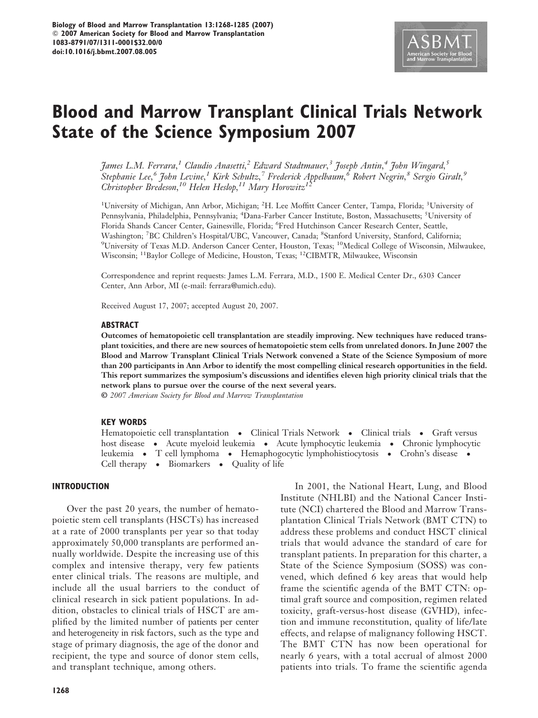

# **Blood and Marrow Transplant Clinical Trials Network State of the Science Symposium 2007**

*James L.M. Ferrara,<sup>1</sup> Claudio Anasetti,<sup>2</sup> Edward Stadtmauer,<sup>3</sup> Joseph Antin,<sup>4</sup> John Wingard,<sup>5</sup> Stephanie Lee,<sup>6</sup> John Levine,<sup>1</sup> Kirk Schultz,<sup>7</sup> Frederick Appelbaum,<sup>6</sup> Robert Negrin,<sup>8</sup> Sergio Giralt,<sup>9</sup> Christopher Bredeson,<sup>10</sup> Helen Heslop,<sup>11</sup> Mary Horowitz<sup>12</sup>*

<sup>1</sup>University of Michigan, Ann Arbor, Michigan; <sup>2</sup>H. Lee Moffitt Cancer Center, Tampa, Florida; <sup>3</sup>University of Pennsylvania, Philadelphia, Pennsylvania; <sup>4</sup>Dana-Farber Cancer Institute, Boston, Massachusetts; <sup>5</sup>University of Florida Shands Cancer Center, Gainesville, Florida; <sup>6</sup>Fred Hutchinson Cancer Research Center, Seattle, Washington; <sup>7</sup> BC Children's Hospital/UBC, Vancouver, Canada; <sup>8</sup> Stanford University, Stanford, California; <sup>9</sup>University of Texas M.D. Anderson Cancer Center, Houston, Texas; <sup>10</sup>Medical College of Wisconsin, Milwaukee, Wisconsin; 11Baylor College of Medicine, Houston, Texas; 12CIBMTR, Milwaukee, Wisconsin

Correspondence and reprint requests: James L.M. Ferrara, M.D., 1500 E. Medical Center Dr., 6303 Cancer Center, Ann Arbor, MI (e-mail: ferrara@umich.edu).

Received August 17, 2007; accepted August 20, 2007.

#### **ABSTRACT**

**Outcomes of hematopoietic cell transplantation are steadily improving. New techniques have reduced transplant toxicities, and there are new sources of hematopoietic stem cells from unrelated donors. In June 2007 the Blood and Marrow Transplant Clinical Trials Network convened a State of the Science Symposium of more than 200 participants in Ann Arbor to identify the most compelling clinical research opportunities in the field. This report summarizes the symposium's discussions and identifies eleven high priority clinical trials that the network plans to pursue over the course of the next several years. ©** *2007 American Society for Blood and Marrow Transplantation*

#### **KEY WORDS**

Hematopoietic cell transplantation • Clinical Trials Network • Clinical trials • Graft versus host disease ● Acute myeloid leukemia ● Acute lymphocytic leukemia ● Chronic lymphocytic leukemia ● T cell lymphoma ● Hemaphogocytic lymphohistiocytosis ● Crohn's disease ● Cell therapy • Biomarkers • Quality of life

#### **INTRODUCTION**

Over the past 20 years, the number of hematopoietic stem cell transplants (HSCTs) has increased at a rate of 2000 transplants per year so that today approximately 50,000 transplants are performed annually worldwide. Despite the increasing use of this complex and intensive therapy, very few patients enter clinical trials. The reasons are multiple, and include all the usual barriers to the conduct of clinical research in sick patient populations. In addition, obstacles to clinical trials of HSCT are amplified by the limited number of patients per center and heterogeneity in risk factors, such as the type and stage of primary diagnosis, the age of the donor and recipient, the type and source of donor stem cells, and transplant technique, among others.

Institute (NHLBI) and the National Cancer Institute (NCI) chartered the Blood and Marrow Transplantation Clinical Trials Network (BMT CTN) to address these problems and conduct HSCT clinical trials that would advance the standard of care for transplant patients. In preparation for this charter, a State of the Science Symposium (SOSS) was convened, which defined 6 key areas that would help frame the scientific agenda of the BMT CTN: optimal graft source and composition, regimen related toxicity, graft-versus-host disease (GVHD), infection and immune reconstitution, quality of life/late effects, and relapse of malignancy following HSCT. The BMT CTN has now been operational for nearly 6 years, with a total accrual of almost 2000 patients into trials. To frame the scientific agenda

In 2001, the National Heart, Lung, and Blood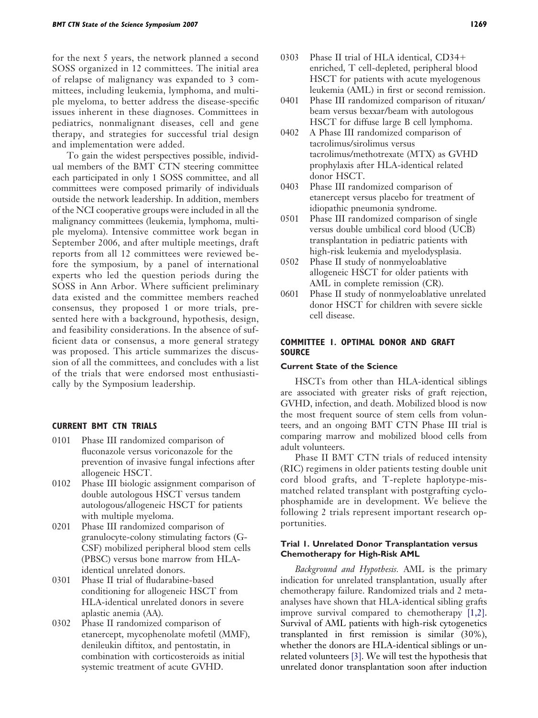for the next 5 years, the network planned a second SOSS organized in 12 committees. The initial area of relapse of malignancy was expanded to 3 committees, including leukemia, lymphoma, and multiple myeloma, to better address the disease-specific issues inherent in these diagnoses. Committees in pediatrics, nonmalignant diseases, cell and gene therapy, and strategies for successful trial design and implementation were added.

To gain the widest perspectives possible, individual members of the BMT CTN steering committee each participated in only 1 SOSS committee, and all committees were composed primarily of individuals outside the network leadership. In addition, members of the NCI cooperative groups were included in all the malignancy committees (leukemia, lymphoma, multiple myeloma). Intensive committee work began in September 2006, and after multiple meetings, draft reports from all 12 committees were reviewed before the symposium, by a panel of international experts who led the question periods during the SOSS in Ann Arbor. Where sufficient preliminary data existed and the committee members reached consensus, they proposed 1 or more trials, presented here with a background, hypothesis, design, and feasibility considerations. In the absence of sufficient data or consensus, a more general strategy was proposed. This article summarizes the discussion of all the committees, and concludes with a list of the trials that were endorsed most enthusiastically by the Symposium leadership.

#### **CURRENT BMT CTN TRIALS**

- 0101 Phase III randomized comparison of fluconazole versus voriconazole for the prevention of invasive fungal infections after allogeneic HSCT.
- 0102 Phase III biologic assignment comparison of double autologous HSCT versus tandem autologous/allogeneic HSCT for patients with multiple myeloma.
- 0201 Phase III randomized comparison of granulocyte-colony stimulating factors (G-CSF) mobilized peripheral blood stem cells (PBSC) versus bone marrow from HLAidentical unrelated donors.
- 0301 Phase II trial of fludarabine-based conditioning for allogeneic HSCT from HLA-identical unrelated donors in severe aplastic anemia (AA).
- 0302 Phase II randomized comparison of etanercept, mycophenolate mofetil (MMF), denileukin diftitox, and pentostatin, in combination with corticosteroids as initial systemic treatment of acute GVHD.
- 0303 Phase II trial of HLA identical, CD34 enriched, T cell-depleted, peripheral blood HSCT for patients with acute myelogenous leukemia (AML) in first or second remission.
- 0401 Phase III randomized comparison of rituxan/ beam versus bexxar/beam with autologous HSCT for diffuse large B cell lymphoma.
- 0402 A Phase III randomized comparison of tacrolimus/sirolimus versus tacrolimus/methotrexate (MTX) as GVHD prophylaxis after HLA-identical related donor HSCT.
- 0403 Phase III randomized comparison of etanercept versus placebo for treatment of idiopathic pneumonia syndrome.
- 0501 Phase III randomized comparison of single versus double umbilical cord blood (UCB) transplantation in pediatric patients with high-risk leukemia and myelodysplasia.
- 0502 Phase II study of nonmyeloablative allogeneic HSCT for older patients with AML in complete remission (CR).
- 0601 Phase II study of nonmyeloablative unrelated donor HSCT for children with severe sickle cell disease.

# **COMMITTEE 1. OPTIMAL DONOR AND GRAFT SOURCE**

# **Current State of the Science**

HSCTs from other than HLA-identical siblings are associated with greater risks of graft rejection, GVHD, infection, and death. Mobilized blood is now the most frequent source of stem cells from volunteers, and an ongoing BMT CTN Phase III trial is comparing marrow and mobilized blood cells from adult volunteers.

Phase II BMT CTN trials of reduced intensity (RIC) regimens in older patients testing double unit cord blood grafts, and T-replete haplotype-mismatched related transplant with postgrafting cyclophosphamide are in development. We believe the following 2 trials represent important research opportunities.

# **Trial 1. Unrelated Donor Transplantation versus Chemotherapy for High-Risk AML**

*Background and Hypothesis.* AML is the primary indication for unrelated transplantation, usually after chemotherapy failure. Randomized trials and 2 metaanalyses have shown that HLA-identical sibling grafts improve survival compared to chemotherapy [\[1,2\].](#page-14-0) Survival of AML patients with high-risk cytogenetics transplanted in first remission is similar (30%), whether the donors are HLA-identical siblings or unrelated volunteers [\[3\].](#page-14-0) We will test the hypothesis that unrelated donor transplantation soon after induction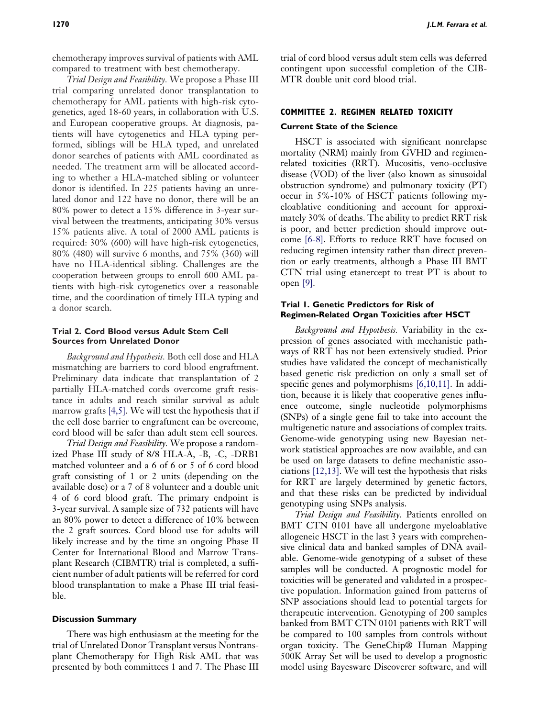chemotherapy improves survival of patients with AML compared to treatment with best chemotherapy.

*Trial Design and Feasibility.* We propose a Phase III trial comparing unrelated donor transplantation to chemotherapy for AML patients with high-risk cytogenetics, aged 18-60 years, in collaboration with U.S. and European cooperative groups. At diagnosis, patients will have cytogenetics and HLA typing performed, siblings will be HLA typed, and unrelated donor searches of patients with AML coordinated as needed. The treatment arm will be allocated according to whether a HLA-matched sibling or volunteer donor is identified. In 225 patients having an unrelated donor and 122 have no donor, there will be an 80% power to detect a 15% difference in 3-year survival between the treatments, anticipating 30% versus 15% patients alive. A total of 2000 AML patients is required: 30% (600) will have high-risk cytogenetics, 80% (480) will survive 6 months, and 75% (360) will have no HLA-identical sibling. Challenges are the cooperation between groups to enroll 600 AML patients with high-risk cytogenetics over a reasonable time, and the coordination of timely HLA typing and a donor search.

# **Trial 2. Cord Blood versus Adult Stem Cell Sources from Unrelated Donor**

*Background and Hypothesis.* Both cell dose and HLA mismatching are barriers to cord blood engraftment. Preliminary data indicate that transplantation of 2 partially HLA-matched cords overcome graft resistance in adults and reach similar survival as adult marrow grafts [\[4,5\].](#page-14-0) We will test the hypothesis that if the cell dose barrier to engraftment can be overcome, cord blood will be safer than adult stem cell sources.

*Trial Design and Feasibility.* We propose a randomized Phase III study of 8/8 HLA-A, -B, -C, -DRB1 matched volunteer and a 6 of 6 or 5 of 6 cord blood graft consisting of 1 or 2 units (depending on the available dose) or a 7 of 8 volunteer and a double unit 4 of 6 cord blood graft. The primary endpoint is 3-year survival. A sample size of 732 patients will have an 80% power to detect a difference of 10% between the 2 graft sources. Cord blood use for adults will likely increase and by the time an ongoing Phase II Center for International Blood and Marrow Transplant Research (CIBMTR) trial is completed, a sufficient number of adult patients will be referred for cord blood transplantation to make a Phase III trial feasible.

#### **Discussion Summary**

There was high enthusiasm at the meeting for the trial of Unrelated Donor Transplant versus Nontransplant Chemotherapy for High Risk AML that was presented by both committees 1 and 7. The Phase III trial of cord blood versus adult stem cells was deferred contingent upon successful completion of the CIB-MTR double unit cord blood trial.

# **COMMITTEE 2. REGIMEN RELATED TOXICITY Current State of the Science**

HSCT is associated with significant nonrelapse mortality (NRM) mainly from GVHD and regimenrelated toxicities (RRT). Mucositis, veno-occlusive disease (VOD) of the liver (also known as sinusoidal obstruction syndrome) and pulmonary toxicity (PT) occur in 5%-10% of HSCT patients following myeloablative conditioning and account for approximately 30% of deaths. The ability to predict RRT risk is poor, and better prediction should improve outcome [\[6-8\].](#page-14-0) Efforts to reduce RRT have focused on reducing regimen intensity rather than direct prevention or early treatments, although a Phase III BMT CTN trial using etanercept to treat PT is about to open [\[9\].](#page-14-0)

# **Trial 1. Genetic Predictors for Risk of Regimen-Related Organ Toxicities after HSCT**

*Background and Hypothesis.* Variability in the expression of genes associated with mechanistic pathways of RRT has not been extensively studied. Prior studies have validated the concept of mechanistically based genetic risk prediction on only a small set of specific genes and polymorphisms [\[6,10,11\].](#page-14-0) In addition, because it is likely that cooperative genes influence outcome, single nucleotide polymorphisms (SNPs) of a single gene fail to take into account the multigenetic nature and associations of complex traits. Genome-wide genotyping using new Bayesian network statistical approaches are now available, and can be used on large datasets to define mechanistic associations [\[12,13\].](#page-14-0) We will test the hypothesis that risks for RRT are largely determined by genetic factors, and that these risks can be predicted by individual genotyping using SNPs analysis.

*Trial Design and Feasibility.* Patients enrolled on BMT CTN 0101 have all undergone myeloablative allogeneic HSCT in the last 3 years with comprehensive clinical data and banked samples of DNA available. Genome-wide genotyping of a subset of these samples will be conducted. A prognostic model for toxicities will be generated and validated in a prospective population. Information gained from patterns of SNP associations should lead to potential targets for therapeutic intervention. Genotyping of 200 samples banked from BMT CTN 0101 patients with RRT will be compared to 100 samples from controls without organ toxicity. The GeneChip® Human Mapping 500K Array Set will be used to develop a prognostic model using Bayesware Discoverer software, and will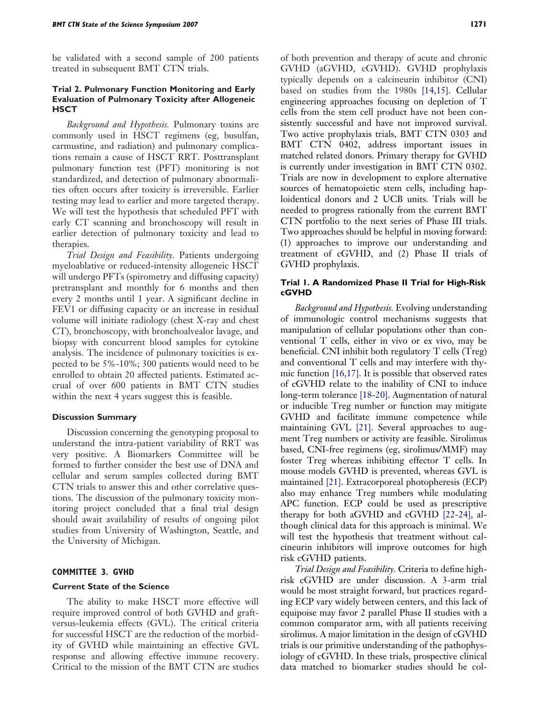be validated with a second sample of 200 patients treated in subsequent BMT CTN trials.

### **Trial 2. Pulmonary Function Monitoring and Early Evaluation of Pulmonary Toxicity after Allogeneic HSCT**

*Background and Hypothesis.* Pulmonary toxins are commonly used in HSCT regimens (eg, busulfan, carmustine, and radiation) and pulmonary complications remain a cause of HSCT RRT. Posttransplant pulmonary function test (PFT) monitoring is not standardized, and detection of pulmonary abnormalities often occurs after toxicity is irreversible. Earlier testing may lead to earlier and more targeted therapy. We will test the hypothesis that scheduled PFT with early CT scanning and bronchoscopy will result in earlier detection of pulmonary toxicity and lead to therapies.

*Trial Design and Feasibility.* Patients undergoing myeloablative or reduced-intensity allogeneic HSCT will undergo PFTs (spirometry and diffusing capacity) pretransplant and monthly for 6 months and then every 2 months until 1 year. A significant decline in FEV1 or diffusing capacity or an increase in residual volume will initiate radiology (chest X-ray and chest CT), bronchoscopy, with bronchoalvealor lavage, and biopsy with concurrent blood samples for cytokine analysis. The incidence of pulmonary toxicities is expected to be 5%-10%; 300 patients would need to be enrolled to obtain 20 affected patients. Estimated accrual of over 600 patients in BMT CTN studies within the next 4 years suggest this is feasible.

### **Discussion Summary**

Discussion concerning the genotyping proposal to understand the intra-patient variability of RRT was very positive. A Biomarkers Committee will be formed to further consider the best use of DNA and cellular and serum samples collected during BMT CTN trials to answer this and other correlative questions. The discussion of the pulmonary toxicity monitoring project concluded that a final trial design should await availability of results of ongoing pilot studies from University of Washington, Seattle, and the University of Michigan.

#### **COMMITTEE 3. GVHD**

#### **Current State of the Science**

The ability to make HSCT more effective will require improved control of both GVHD and graftversus-leukemia effects (GVL). The critical criteria for successful HSCT are the reduction of the morbidity of GVHD while maintaining an effective GVL response and allowing effective immune recovery. Critical to the mission of the BMT CTN are studies of both prevention and therapy of acute and chronic GVHD (aGVHD, cGVHD). GVHD prophylaxis typically depends on a calcineurin inhibitor (CNI) based on studies from the 1980s [\[14,15\].](#page-14-0) Cellular engineering approaches focusing on depletion of T cells from the stem cell product have not been consistently successful and have not improved survival. Two active prophylaxis trials, BMT CTN 0303 and BMT CTN 0402, address important issues in matched related donors. Primary therapy for GVHD is currently under investigation in BMT CTN 0302. Trials are now in development to explore alternative sources of hematopoietic stem cells, including haploidentical donors and 2 UCB units. Trials will be needed to progress rationally from the current BMT CTN portfolio to the next series of Phase III trials. Two approaches should be helpful in moving forward: (1) approaches to improve our understanding and treatment of cGVHD, and (2) Phase II trials of GVHD prophylaxis.

# **Trial 1. A Randomized Phase II Trial for High-Risk cGVHD**

*Background and Hypothesis.* Evolving understanding of immunologic control mechanisms suggests that manipulation of cellular populations other than conventional T cells, either in vivo or ex vivo, may be beneficial. CNI inhibit both regulatory T cells (Treg) and conventional T cells and may interfere with thymic function [\[16,17\].](#page-14-0) It is possible that observed rates of cGVHD relate to the inability of CNI to induce long-term tolerance [\[18-20\].](#page-14-0) Augmentation of natural or inducible Treg number or function may mitigate GVHD and facilitate immune competence while maintaining GVL [\[21\].](#page-15-0) Several approaches to augment Treg numbers or activity are feasible. Sirolimus based, CNI-free regimens (eg, sirolimus/MMF) may foster Treg whereas inhibiting effector T cells. In mouse models GVHD is prevented, whereas GVL is maintained [\[21\].](#page-15-0) Extracorporeal photopheresis (ECP) also may enhance Treg numbers while modulating APC function. ECP could be used as prescriptive therapy for both aGVHD and cGVHD [\[22-24\],](#page-15-0) although clinical data for this approach is minimal. We will test the hypothesis that treatment without calcineurin inhibitors will improve outcomes for high risk cGVHD patients.

*Trial Design and Feasibility.* Criteria to define highrisk cGVHD are under discussion. A 3-arm trial would be most straight forward, but practices regarding ECP vary widely between centers, and this lack of equipoise may favor 2 parallel Phase II studies with a common comparator arm, with all patients receiving sirolimus. A major limitation in the design of cGVHD trials is our primitive understanding of the pathophysiology of cGVHD. In these trials, prospective clinical data matched to biomarker studies should be col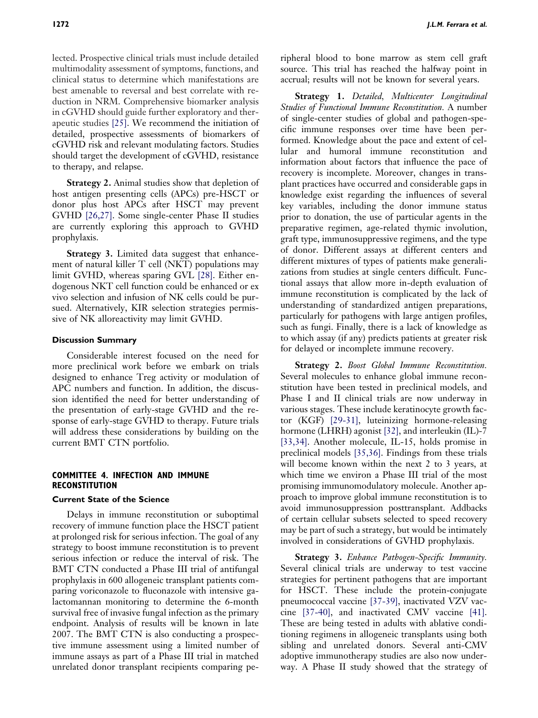lected. Prospective clinical trials must include detailed multimodality assessment of symptoms, functions, and clinical status to determine which manifestations are best amenable to reversal and best correlate with reduction in NRM. Comprehensive biomarker analysis in cGVHD should guide further exploratory and therapeutic studies [\[25\].](#page-15-0) We recommend the initiation of detailed, prospective assessments of biomarkers of cGVHD risk and relevant modulating factors. Studies should target the development of cGVHD, resistance to therapy, and relapse.

**Strategy 2.** Animal studies show that depletion of host antigen presenting cells (APCs) pre-HSCT or donor plus host APCs after HSCT may prevent GVHD [\[26,27\].](#page-15-0) Some single-center Phase II studies are currently exploring this approach to GVHD prophylaxis.

**Strategy 3.** Limited data suggest that enhancement of natural killer T cell (NKT) populations may limit GVHD, whereas sparing GVL [\[28\].](#page-15-0) Either endogenous NKT cell function could be enhanced or ex vivo selection and infusion of NK cells could be pursued. Alternatively, KIR selection strategies permissive of NK alloreactivity may limit GVHD.

## **Discussion Summary**

Considerable interest focused on the need for more preclinical work before we embark on trials designed to enhance Treg activity or modulation of APC numbers and function. In addition, the discussion identified the need for better understanding of the presentation of early-stage GVHD and the response of early-stage GVHD to therapy. Future trials will address these considerations by building on the current BMT CTN portfolio.

# **COMMITTEE 4. INFECTION AND IMMUNE RECONSTITUTION**

#### **Current State of the Science**

Delays in immune reconstitution or suboptimal recovery of immune function place the HSCT patient at prolonged risk for serious infection. The goal of any strategy to boost immune reconstitution is to prevent serious infection or reduce the interval of risk. The BMT CTN conducted a Phase III trial of antifungal prophylaxis in 600 allogeneic transplant patients comparing voriconazole to fluconazole with intensive galactomannan monitoring to determine the 6-month survival free of invasive fungal infection as the primary endpoint. Analysis of results will be known in late 2007. The BMT CTN is also conducting a prospective immune assessment using a limited number of immune assays as part of a Phase III trial in matched unrelated donor transplant recipients comparing peripheral blood to bone marrow as stem cell graft source. This trial has reached the halfway point in accrual; results will not be known for several years.

**Strategy 1.** *Detailed, Multicenter Longitudinal Studies of Functional Immune Reconstitution.* A number of single-center studies of global and pathogen-specific immune responses over time have been performed. Knowledge about the pace and extent of cellular and humoral immune reconstitution and information about factors that influence the pace of recovery is incomplete. Moreover, changes in transplant practices have occurred and considerable gaps in knowledge exist regarding the influences of several key variables, including the donor immune status prior to donation, the use of particular agents in the preparative regimen, age-related thymic involution, graft type, immunosuppressive regimens, and the type of donor. Different assays at different centers and different mixtures of types of patients make generalizations from studies at single centers difficult. Functional assays that allow more in-depth evaluation of immune reconstitution is complicated by the lack of understanding of standardized antigen preparations, particularly for pathogens with large antigen profiles, such as fungi. Finally, there is a lack of knowledge as to which assay (if any) predicts patients at greater risk for delayed or incomplete immune recovery.

**Strategy 2.** *Boost Global Immune Reconstitution.* Several molecules to enhance global immune reconstitution have been tested in preclinical models, and Phase I and II clinical trials are now underway in various stages. These include keratinocyte growth factor (KGF) [\[29-31\],](#page-15-0) luteinizing hormone-releasing hormone (LHRH) agonist [\[32\],](#page-15-0) and interleukin (IL)-7 [\[33,34\].](#page-15-0) Another molecule, IL-15, holds promise in preclinical models [\[35,36\].](#page-15-0) Findings from these trials will become known within the next 2 to 3 years, at which time we environ a Phase III trial of the most promising immunomodulatory molecule. Another approach to improve global immune reconstitution is to avoid immunosuppression posttransplant. Addbacks of certain cellular subsets selected to speed recovery may be part of such a strategy, but would be intimately involved in considerations of GVHD prophylaxis.

**Strategy 3.** *Enhance Pathogen-Specific Immunity.* Several clinical trials are underway to test vaccine strategies for pertinent pathogens that are important for HSCT. These include the protein-conjugate pneumococcal vaccine [\[37-39\],](#page-15-0) inactivated VZV vaccine [\[37-40\],](#page-15-0) and inactivated CMV vaccine [\[41\].](#page-15-0) These are being tested in adults with ablative conditioning regimens in allogeneic transplants using both sibling and unrelated donors. Several anti-CMV adoptive immunotherapy studies are also now underway. A Phase II study showed that the strategy of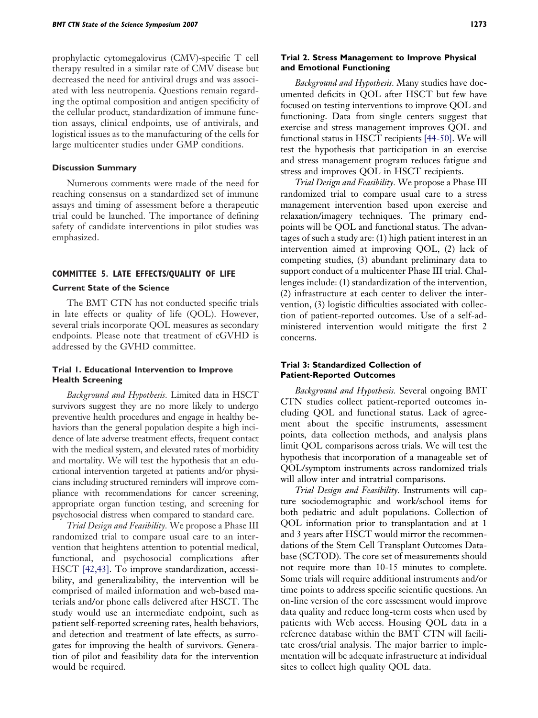prophylactic cytomegalovirus (CMV)-specific T cell therapy resulted in a similar rate of CMV disease but decreased the need for antiviral drugs and was associated with less neutropenia. Questions remain regarding the optimal composition and antigen specificity of the cellular product, standardization of immune function assays, clinical endpoints, use of antivirals, and logistical issues as to the manufacturing of the cells for large multicenter studies under GMP conditions.

#### **Discussion Summary**

Numerous comments were made of the need for reaching consensus on a standardized set of immune assays and timing of assessment before a therapeutic trial could be launched. The importance of defining safety of candidate interventions in pilot studies was emphasized.

#### **COMMITTEE 5. LATE EFFECTS/QUALITY OF LIFE**

# **Current State of the Science**

The BMT CTN has not conducted specific trials in late effects or quality of life (QOL). However, several trials incorporate QOL measures as secondary endpoints. Please note that treatment of cGVHD is addressed by the GVHD committee.

# **Trial 1. Educational Intervention to Improve Health Screening**

*Background and Hypothesis.* Limited data in HSCT survivors suggest they are no more likely to undergo preventive health procedures and engage in healthy behaviors than the general population despite a high incidence of late adverse treatment effects, frequent contact with the medical system, and elevated rates of morbidity and mortality. We will test the hypothesis that an educational intervention targeted at patients and/or physicians including structured reminders will improve compliance with recommendations for cancer screening, appropriate organ function testing, and screening for psychosocial distress when compared to standard care.

*Trial Design and Feasibility.* We propose a Phase III randomized trial to compare usual care to an intervention that heightens attention to potential medical, functional, and psychosocial complications after HSCT [\[42,43\].](#page-15-0) To improve standardization, accessibility, and generalizability, the intervention will be comprised of mailed information and web-based materials and/or phone calls delivered after HSCT. The study would use an intermediate endpoint, such as patient self-reported screening rates, health behaviors, and detection and treatment of late effects, as surrogates for improving the health of survivors. Generation of pilot and feasibility data for the intervention would be required.

# **Trial 2. Stress Management to Improve Physical and Emotional Functioning**

*Background and Hypothesis.* Many studies have documented deficits in QOL after HSCT but few have focused on testing interventions to improve QOL and functioning. Data from single centers suggest that exercise and stress management improves QOL and functional status in HSCT recipients [\[44-50\].](#page-15-0) We will test the hypothesis that participation in an exercise and stress management program reduces fatigue and stress and improves QOL in HSCT recipients.

*Trial Design and Feasibility.* We propose a Phase III randomized trial to compare usual care to a stress management intervention based upon exercise and relaxation/imagery techniques. The primary endpoints will be QOL and functional status. The advantages of such a study are: (1) high patient interest in an intervention aimed at improving QOL, (2) lack of competing studies, (3) abundant preliminary data to support conduct of a multicenter Phase III trial. Challenges include: (1) standardization of the intervention, (2) infrastructure at each center to deliver the intervention, (3) logistic difficulties associated with collection of patient-reported outcomes. Use of a self-administered intervention would mitigate the first 2 concerns.

# **Trial 3: Standardized Collection of Patient-Reported Outcomes**

*Background and Hypothesis.* Several ongoing BMT CTN studies collect patient-reported outcomes including QOL and functional status. Lack of agreement about the specific instruments, assessment points, data collection methods, and analysis plans limit QOL comparisons across trials. We will test the hypothesis that incorporation of a manageable set of QOL/symptom instruments across randomized trials will allow inter and intratrial comparisons.

*Trial Design and Feasibility.* Instruments will capture sociodemographic and work/school items for both pediatric and adult populations. Collection of QOL information prior to transplantation and at 1 and 3 years after HSCT would mirror the recommendations of the Stem Cell Transplant Outcomes Database (SCTOD). The core set of measurements should not require more than 10-15 minutes to complete. Some trials will require additional instruments and/or time points to address specific scientific questions. An on-line version of the core assessment would improve data quality and reduce long-term costs when used by patients with Web access. Housing QOL data in a reference database within the BMT CTN will facilitate cross/trial analysis. The major barrier to implementation will be adequate infrastructure at individual sites to collect high quality QOL data.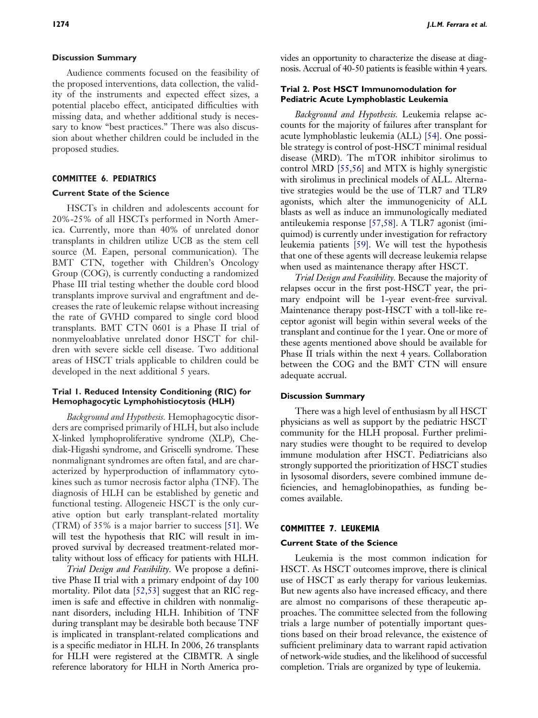#### **Discussion Summary**

Audience comments focused on the feasibility of the proposed interventions, data collection, the validity of the instruments and expected effect sizes, a potential placebo effect, anticipated difficulties with missing data, and whether additional study is necessary to know "best practices." There was also discussion about whether children could be included in the proposed studies.

#### **COMMITTEE 6. PEDIATRICS**

#### **Current State of the Science**

HSCTs in children and adolescents account for 20%-25% of all HSCTs performed in North America. Currently, more than 40% of unrelated donor transplants in children utilize UCB as the stem cell source (M. Eapen, personal communication). The BMT CTN, together with Children's Oncology Group (COG), is currently conducting a randomized Phase III trial testing whether the double cord blood transplants improve survival and engraftment and decreases the rate of leukemic relapse without increasing the rate of GVHD compared to single cord blood transplants. BMT CTN 0601 is a Phase II trial of nonmyeloablative unrelated donor HSCT for children with severe sickle cell disease. Two additional areas of HSCT trials applicable to children could be developed in the next additional 5 years.

# **Trial 1. Reduced Intensity Conditioning (RIC) for Hemophagocytic Lymphohistiocytosis (HLH)**

*Background and Hypothesis.* Hemophagocytic disorders are comprised primarily of HLH, but also include X-linked lymphoproliferative syndrome (XLP), Chediak-Higashi syndrome, and Griscelli syndrome. These nonmalignant syndromes are often fatal, and are characterized by hyperproduction of inflammatory cytokines such as tumor necrosis factor alpha (TNF). The diagnosis of HLH can be established by genetic and functional testing. Allogeneic HSCT is the only curative option but early transplant-related mortality (TRM) of 35% is a major barrier to success [\[51\].](#page-16-0) We will test the hypothesis that RIC will result in improved survival by decreased treatment-related mortality without loss of efficacy for patients with HLH.

*Trial Design and Feasibility.* We propose a definitive Phase II trial with a primary endpoint of day 100 mortality. Pilot data [\[52,53\]](#page-16-0) suggest that an RIC regimen is safe and effective in children with nonmalignant disorders, including HLH. Inhibition of TNF during transplant may be desirable both because TNF is implicated in transplant-related complications and is a specific mediator in HLH. In 2006, 26 transplants for HLH were registered at the CIBMTR. A single reference laboratory for HLH in North America provides an opportunity to characterize the disease at diagnosis. Accrual of 40-50 patients is feasible within 4 years.

# **Trial 2. Post HSCT Immunomodulation for Pediatric Acute Lymphoblastic Leukemia**

*Background and Hypothesis.* Leukemia relapse accounts for the majority of failures after transplant for acute lymphoblastic leukemia (ALL) [\[54\].](#page-16-0) One possible strategy is control of post-HSCT minimal residual disease (MRD). The mTOR inhibitor sirolimus to control MRD [\[55,56\]](#page-16-0) and MTX is highly synergistic with sirolimus in preclinical models of ALL. Alternative strategies would be the use of TLR7 and TLR9 agonists, which alter the immunogenicity of ALL blasts as well as induce an immunologically mediated antileukemia response [\[57,58\].](#page-16-0) A TLR7 agonist (imiquimod) is currently under investigation for refractory leukemia patients [\[59\].](#page-16-0) We will test the hypothesis that one of these agents will decrease leukemia relapse when used as maintenance therapy after HSCT.

*Trial Design and Feasibility.* Because the majority of relapses occur in the first post-HSCT year, the primary endpoint will be 1-year event-free survival. Maintenance therapy post-HSCT with a toll-like receptor agonist will begin within several weeks of the transplant and continue for the 1 year. One or more of these agents mentioned above should be available for Phase II trials within the next 4 years. Collaboration between the COG and the BMT CTN will ensure adequate accrual.

# **Discussion Summary**

There was a high level of enthusiasm by all HSCT physicians as well as support by the pediatric HSCT community for the HLH proposal. Further preliminary studies were thought to be required to develop immune modulation after HSCT. Pediatricians also strongly supported the prioritization of HSCT studies in lysosomal disorders, severe combined immune deficiencies, and hemaglobinopathies, as funding becomes available.

# **COMMITTEE 7. LEUKEMIA**

#### **Current State of the Science**

Leukemia is the most common indication for HSCT. As HSCT outcomes improve, there is clinical use of HSCT as early therapy for various leukemias. But new agents also have increased efficacy, and there are almost no comparisons of these therapeutic approaches. The committee selected from the following trials a large number of potentially important questions based on their broad relevance, the existence of sufficient preliminary data to warrant rapid activation of network-wide studies, and the likelihood of successful completion. Trials are organized by type of leukemia.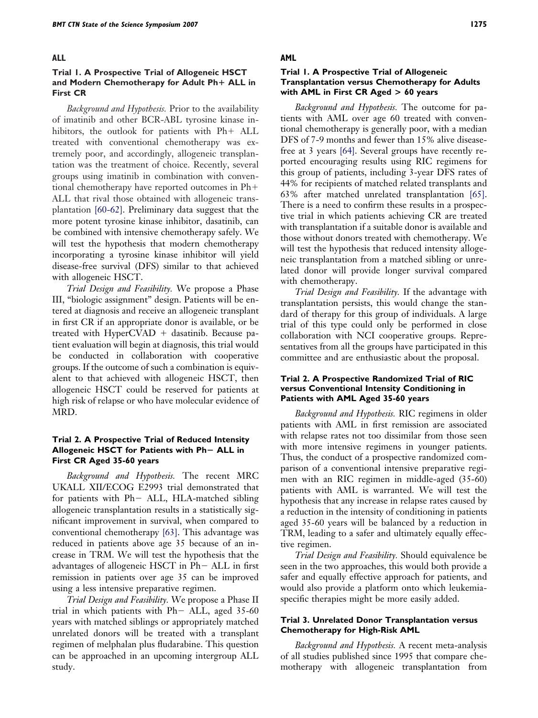#### **ALL**

# **Trial 1. A Prospective Trial of Allogeneic HSCT** and Modern Chemotherapy for Adult Ph+ ALL in **First CR**

*Background and Hypothesis.* Prior to the availability of imatinib and other BCR-ABL tyrosine kinase inhibitors, the outlook for patients with Ph+ ALL treated with conventional chemotherapy was extremely poor, and accordingly, allogeneic transplantation was the treatment of choice. Recently, several groups using imatinib in combination with conventional chemotherapy have reported outcomes in Ph ALL that rival those obtained with allogeneic transplantation [\[60-62\].](#page-16-0) Preliminary data suggest that the more potent tyrosine kinase inhibitor, dasatinib, can be combined with intensive chemotherapy safely. We will test the hypothesis that modern chemotherapy incorporating a tyrosine kinase inhibitor will yield disease-free survival (DFS) similar to that achieved with allogeneic HSCT.

*Trial Design and Feasibility.* We propose a Phase III, "biologic assignment" design. Patients will be entered at diagnosis and receive an allogeneic transplant in first CR if an appropriate donor is available, or be treated with  $HyperCVAD + d$ asatinib. Because patient evaluation will begin at diagnosis, this trial would be conducted in collaboration with cooperative groups. If the outcome of such a combination is equivalent to that achieved with allogeneic HSCT, then allogeneic HSCT could be reserved for patients at high risk of relapse or who have molecular evidence of MRD.

# **Trial 2. A Prospective Trial of Reduced Intensity Allogeneic HSCT for Patients with Ph**- **ALL in First CR Aged 35-60 years**

*Background and Hypothesis.* The recent MRC UKALL XII/ECOG E2993 trial demonstrated that for patients with Ph- ALL, HLA-matched sibling allogeneic transplantation results in a statistically significant improvement in survival, when compared to conventional chemotherapy [\[63\].](#page-16-0) This advantage was reduced in patients above age 35 because of an increase in TRM. We will test the hypothesis that the advantages of allogeneic HSCT in Ph- ALL in first remission in patients over age 35 can be improved using a less intensive preparative regimen.

*Trial Design and Feasibility.* We propose a Phase II trial in which patients with Ph- ALL, aged 35-60 years with matched siblings or appropriately matched unrelated donors will be treated with a transplant regimen of melphalan plus fludarabine. This question can be approached in an upcoming intergroup ALL study.

### **AML**

#### **Trial 1. A Prospective Trial of Allogeneic Transplantation versus Chemotherapy for Adults with AML in First CR Aged > 60 years**

*Background and Hypothesis.* The outcome for patients with AML over age 60 treated with conventional chemotherapy is generally poor, with a median DFS of 7-9 months and fewer than 15% alive diseasefree at 3 years [\[64\].](#page-16-0) Several groups have recently reported encouraging results using RIC regimens for this group of patients, including 3-year DFS rates of 44% for recipients of matched related transplants and 63% after matched unrelated transplantation [\[65\].](#page-16-0) There is a need to confirm these results in a prospective trial in which patients achieving CR are treated with transplantation if a suitable donor is available and those without donors treated with chemotherapy. We will test the hypothesis that reduced intensity allogeneic transplantation from a matched sibling or unrelated donor will provide longer survival compared with chemotherapy.

*Trial Design and Feasibility.* If the advantage with transplantation persists, this would change the standard of therapy for this group of individuals. A large trial of this type could only be performed in close collaboration with NCI cooperative groups. Representatives from all the groups have participated in this committee and are enthusiastic about the proposal.

# **Trial 2. A Prospective Randomized Trial of RIC versus Conventional Intensity Conditioning in Patients with AML Aged 35-60 years**

*Background and Hypothesis.* RIC regimens in older patients with AML in first remission are associated with relapse rates not too dissimilar from those seen with more intensive regimens in younger patients. Thus, the conduct of a prospective randomized comparison of a conventional intensive preparative regimen with an RIC regimen in middle-aged (35-60) patients with AML is warranted. We will test the hypothesis that any increase in relapse rates caused by a reduction in the intensity of conditioning in patients aged 35-60 years will be balanced by a reduction in TRM, leading to a safer and ultimately equally effective regimen.

*Trial Design and Feasibility.* Should equivalence be seen in the two approaches, this would both provide a safer and equally effective approach for patients, and would also provide a platform onto which leukemiaspecific therapies might be more easily added.

# **Trial 3. Unrelated Donor Transplantation versus Chemotherapy for High-Risk AML**

*Background and Hypothesis.* A recent meta-analysis of all studies published since 1995 that compare chemotherapy with allogeneic transplantation from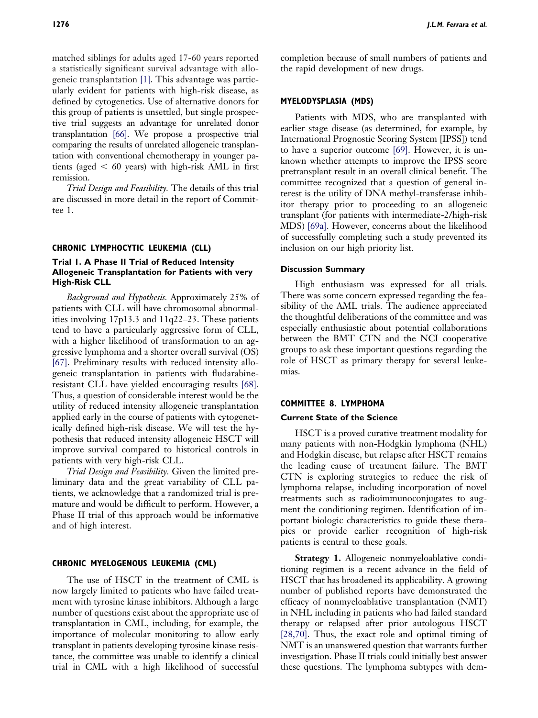matched siblings for adults aged 17-60 years reported a statistically significant survival advantage with allogeneic transplantation [\[1\].](#page-14-0) This advantage was particularly evident for patients with high-risk disease, as defined by cytogenetics. Use of alternative donors for this group of patients is unsettled, but single prospective trial suggests an advantage for unrelated donor transplantation [\[66\].](#page-16-0) We propose a prospective trial comparing the results of unrelated allogeneic transplantation with conventional chemotherapy in younger patients (aged  $< 60$  years) with high-risk AML in first remission.

*Trial Design and Feasibility.* The details of this trial are discussed in more detail in the report of Committee 1.

#### **CHRONIC LYMPHOCYTIC LEUKEMIA (CLL)**

# **Trial 1. A Phase II Trial of Reduced Intensity Allogeneic Transplantation for Patients with very High-Risk CLL**

*Background and Hypothesis.* Approximately 25% of patients with CLL will have chromosomal abnormalities involving 17p13.3 and 11q22–23. These patients tend to have a particularly aggressive form of CLL, with a higher likelihood of transformation to an aggressive lymphoma and a shorter overall survival (OS) [\[67\].](#page-16-0) Preliminary results with reduced intensity allogeneic transplantation in patients with fludarabineresistant CLL have yielded encouraging results [\[68\].](#page-16-0) Thus, a question of considerable interest would be the utility of reduced intensity allogeneic transplantation applied early in the course of patients with cytogenetically defined high-risk disease. We will test the hypothesis that reduced intensity allogeneic HSCT will improve survival compared to historical controls in patients with very high-risk CLL.

*Trial Design and Feasibility.* Given the limited preliminary data and the great variability of CLL patients, we acknowledge that a randomized trial is premature and would be difficult to perform. However, a Phase II trial of this approach would be informative and of high interest.

#### **CHRONIC MYELOGENOUS LEUKEMIA (CML)**

The use of HSCT in the treatment of CML is now largely limited to patients who have failed treatment with tyrosine kinase inhibitors. Although a large number of questions exist about the appropriate use of transplantation in CML, including, for example, the importance of molecular monitoring to allow early transplant in patients developing tyrosine kinase resistance, the committee was unable to identify a clinical trial in CML with a high likelihood of successful

completion because of small numbers of patients and the rapid development of new drugs.

#### **MYELODYSPLASIA (MDS)**

Patients with MDS, who are transplanted with earlier stage disease (as determined, for example, by International Prognostic Scoring System [IPSS]) tend to have a superior outcome [\[69\].](#page-16-0) However, it is unknown whether attempts to improve the IPSS score pretransplant result in an overall clinical benefit. The committee recognized that a question of general interest is the utility of DNA methyl-transferase inhibitor therapy prior to proceeding to an allogeneic transplant (for patients with intermediate-2/high-risk MDS) [\[69a\].](#page-16-0) However, concerns about the likelihood of successfully completing such a study prevented its inclusion on our high priority list.

#### **Discussion Summary**

High enthusiasm was expressed for all trials. There was some concern expressed regarding the feasibility of the AML trials. The audience appreciated the thoughtful deliberations of the committee and was especially enthusiastic about potential collaborations between the BMT CTN and the NCI cooperative groups to ask these important questions regarding the role of HSCT as primary therapy for several leukemias.

#### **COMMITTEE 8. LYMPHOMA**

### **Current State of the Science**

HSCT is a proved curative treatment modality for many patients with non-Hodgkin lymphoma (NHL) and Hodgkin disease, but relapse after HSCT remains the leading cause of treatment failure. The BMT CTN is exploring strategies to reduce the risk of lymphoma relapse, including incorporation of novel treatments such as radioimmunoconjugates to augment the conditioning regimen. Identification of important biologic characteristics to guide these therapies or provide earlier recognition of high-risk patients is central to these goals.

**Strategy 1.** Allogeneic nonmyeloablative conditioning regimen is a recent advance in the field of HSCT that has broadened its applicability. A growing number of published reports have demonstrated the efficacy of nonmyeloablative transplantation (NMT) in NHL including in patients who had failed standard therapy or relapsed after prior autologous HSCT [\[28,70\].](#page-15-0) Thus, the exact role and optimal timing of NMT is an unanswered question that warrants further investigation. Phase II trials could initially best answer these questions. The lymphoma subtypes with dem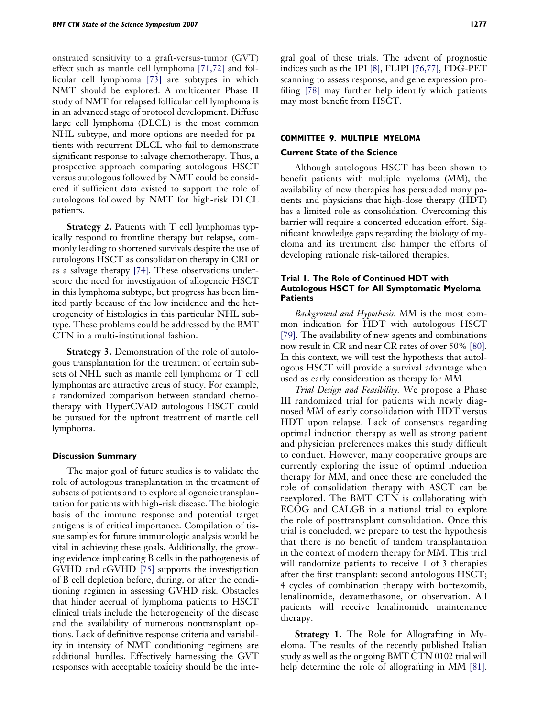onstrated sensitivity to a graft-versus-tumor (GVT) effect such as mantle cell lymphoma [\[71,72\]](#page-16-0) and follicular cell lymphoma [\[73\]](#page-16-0) are subtypes in which NMT should be explored. A multicenter Phase II study of NMT for relapsed follicular cell lymphoma is in an advanced stage of protocol development. Diffuse large cell lymphoma (DLCL) is the most common NHL subtype, and more options are needed for patients with recurrent DLCL who fail to demonstrate significant response to salvage chemotherapy. Thus, a prospective approach comparing autologous HSCT versus autologous followed by NMT could be considered if sufficient data existed to support the role of autologous followed by NMT for high-risk DLCL patients.

**Strategy 2.** Patients with T cell lymphomas typically respond to frontline therapy but relapse, commonly leading to shortened survivals despite the use of autologous HSCT as consolidation therapy in CRI or as a salvage therapy [\[74\].](#page-16-0) These observations underscore the need for investigation of allogeneic HSCT in this lymphoma subtype, but progress has been limited partly because of the low incidence and the heterogeneity of histologies in this particular NHL subtype. These problems could be addressed by the BMT CTN in a multi-institutional fashion.

**Strategy 3.** Demonstration of the role of autologous transplantation for the treatment of certain subsets of NHL such as mantle cell lymphoma or T cell lymphomas are attractive areas of study. For example, a randomized comparison between standard chemotherapy with HyperCVAD autologous HSCT could be pursued for the upfront treatment of mantle cell lymphoma.

#### **Discussion Summary**

The major goal of future studies is to validate the role of autologous transplantation in the treatment of subsets of patients and to explore allogeneic transplantation for patients with high-risk disease. The biologic basis of the immune response and potential target antigens is of critical importance. Compilation of tissue samples for future immunologic analysis would be vital in achieving these goals. Additionally, the growing evidence implicating B cells in the pathogenesis of GVHD and cGVHD [\[75\]](#page-16-0) supports the investigation of B cell depletion before, during, or after the conditioning regimen in assessing GVHD risk. Obstacles that hinder accrual of lymphoma patients to HSCT clinical trials include the heterogeneity of the disease and the availability of numerous nontransplant options. Lack of definitive response criteria and variability in intensity of NMT conditioning regimens are additional hurdles. Effectively harnessing the GVT responses with acceptable toxicity should be the integral goal of these trials. The advent of prognostic indices such as the IPI [\[8\],](#page-14-0) FLIPI [\[76,77\],](#page-16-0) FDG-PET scanning to assess response, and gene expression profiling [\[78\]](#page-16-0) may further help identify which patients may most benefit from HSCT.

### **COMMITTEE 9. MULTIPLE MYELOMA**

#### **Current State of the Science**

Although autologous HSCT has been shown to benefit patients with multiple myeloma (MM), the availability of new therapies has persuaded many patients and physicians that high-dose therapy (HDT) has a limited role as consolidation. Overcoming this barrier will require a concerted education effort. Significant knowledge gaps regarding the biology of myeloma and its treatment also hamper the efforts of developing rationale risk-tailored therapies.

# **Trial 1. The Role of Continued HDT with Autologous HSCT for All Symptomatic Myeloma Patients**

*Background and Hypothesis.* MM is the most common indication for HDT with autologous HSCT [\[79\].](#page-16-0) The availability of new agents and combinations now result in CR and near CR rates of over 50% [\[80\].](#page-16-0) In this context, we will test the hypothesis that autologous HSCT will provide a survival advantage when used as early consideration as therapy for MM.

*Trial Design and Feasibility.* We propose a Phase III randomized trial for patients with newly diagnosed MM of early consolidation with HDT versus HDT upon relapse. Lack of consensus regarding optimal induction therapy as well as strong patient and physician preferences makes this study difficult to conduct. However, many cooperative groups are currently exploring the issue of optimal induction therapy for MM, and once these are concluded the role of consolidation therapy with ASCT can be reexplored. The BMT CTN is collaborating with ECOG and CALGB in a national trial to explore the role of posttransplant consolidation. Once this trial is concluded, we prepare to test the hypothesis that there is no benefit of tandem transplantation in the context of modern therapy for MM. This trial will randomize patients to receive 1 of 3 therapies after the first transplant: second autologous HSCT; 4 cycles of combination therapy with bortezomib, lenalinomide, dexamethasone, or observation. All patients will receive lenalinomide maintenance therapy.

**Strategy 1.** The Role for Allografting in Myeloma. The results of the recently published Italian study as well as the ongoing BMT CTN 0102 trial will help determine the role of allografting in MM [\[81\].](#page-16-0)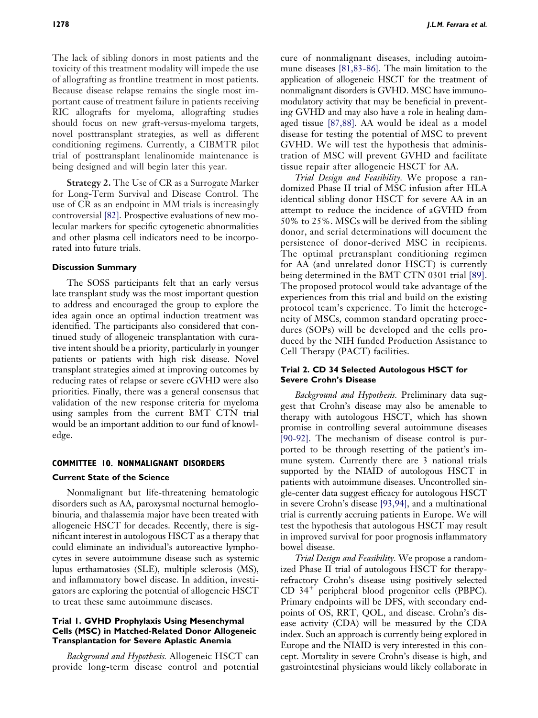The lack of sibling donors in most patients and the toxicity of this treatment modality will impede the use of allografting as frontline treatment in most patients. Because disease relapse remains the single most important cause of treatment failure in patients receiving RIC allografts for myeloma, allografting studies should focus on new graft-versus-myeloma targets, novel posttransplant strategies, as well as different conditioning regimens. Currently, a CIBMTR pilot trial of posttransplant lenalinomide maintenance is being designed and will begin later this year.

**Strategy 2.** The Use of CR as a Surrogate Marker for Long-Term Survival and Disease Control. The use of CR as an endpoint in MM trials is increasingly controversial [\[82\].](#page-16-0) Prospective evaluations of new molecular markers for specific cytogenetic abnormalities and other plasma cell indicators need to be incorporated into future trials.

# **Discussion Summary**

The SOSS participants felt that an early versus late transplant study was the most important question to address and encouraged the group to explore the idea again once an optimal induction treatment was identified. The participants also considered that continued study of allogeneic transplantation with curative intent should be a priority, particularly in younger patients or patients with high risk disease. Novel transplant strategies aimed at improving outcomes by reducing rates of relapse or severe cGVHD were also priorities. Finally, there was a general consensus that validation of the new response criteria for myeloma using samples from the current BMT CTN trial would be an important addition to our fund of knowledge.

## **COMMITTEE 10. NONMALIGNANT DISORDERS**

#### **Current State of the Science**

Nonmalignant but life-threatening hematologic disorders such as AA, paroxysmal nocturnal hemoglobinuria, and thalassemia major have been treated with allogeneic HSCT for decades. Recently, there is significant interest in autologous HSCT as a therapy that could eliminate an individual's autoreactive lymphocytes in severe autoimmune disease such as systemic lupus erthamatosies (SLE), multiple sclerosis (MS), and inflammatory bowel disease. In addition, investigators are exploring the potential of allogeneic HSCT to treat these same autoimmune diseases.

# **Trial 1. GVHD Prophylaxis Using Mesenchymal Cells (MSC) in Matched-Related Donor Allogeneic Transplantation for Severe Aplastic Anemia**

*Background and Hypothesis.* Allogeneic HSCT can provide long-term disease control and potential cure of nonmalignant diseases, including autoimmune diseases [\[81,83-86\].](#page-16-0) The main limitation to the application of allogeneic HSCT for the treatment of nonmalignant disorders is GVHD. MSC have immunomodulatory activity that may be beneficial in preventing GVHD and may also have a role in healing damaged tissue [\[87,88\].](#page-17-0) AA would be ideal as a model disease for testing the potential of MSC to prevent GVHD. We will test the hypothesis that administration of MSC will prevent GVHD and facilitate tissue repair after allogeneic HSCT for AA.

*Trial Design and Feasibility.* We propose a randomized Phase II trial of MSC infusion after HLA identical sibling donor HSCT for severe AA in an attempt to reduce the incidence of aGVHD from 50% to 25%. MSCs will be derived from the sibling donor, and serial determinations will document the persistence of donor-derived MSC in recipients. The optimal pretransplant conditioning regimen for AA (and unrelated donor HSCT) is currently being determined in the BMT CTN 0301 trial [\[89\].](#page-17-0) The proposed protocol would take advantage of the experiences from this trial and build on the existing protocol team's experience. To limit the heterogeneity of MSCs, common standard operating procedures (SOPs) will be developed and the cells produced by the NIH funded Production Assistance to Cell Therapy (PACT) facilities.

# **Trial 2. CD 34 Selected Autologous HSCT for Severe Crohn's Disease**

*Background and Hypothesis.* Preliminary data suggest that Crohn's disease may also be amenable to therapy with autologous HSCT, which has shown promise in controlling several autoimmune diseases [\[90-92\].](#page-17-0) The mechanism of disease control is purported to be through resetting of the patient's immune system. Currently there are 3 national trials supported by the NIAID of autologous HSCT in patients with autoimmune diseases. Uncontrolled single-center data suggest efficacy for autologous HSCT in severe Crohn's disease [\[93,94\],](#page-17-0) and a multinational trial is currently accruing patients in Europe. We will test the hypothesis that autologous HSCT may result in improved survival for poor prognosis inflammatory bowel disease.

*Trial Design and Feasibility.* We propose a randomized Phase II trial of autologous HSCT for therapyrefractory Crohn's disease using positively selected  $CD$  34<sup>+</sup> peripheral blood progenitor cells (PBPC). Primary endpoints will be DFS, with secondary endpoints of OS, RRT, QOL, and disease. Crohn's disease activity (CDA) will be measured by the CDA index. Such an approach is currently being explored in Europe and the NIAID is very interested in this concept. Mortality in severe Crohn's disease is high, and gastrointestinal physicians would likely collaborate in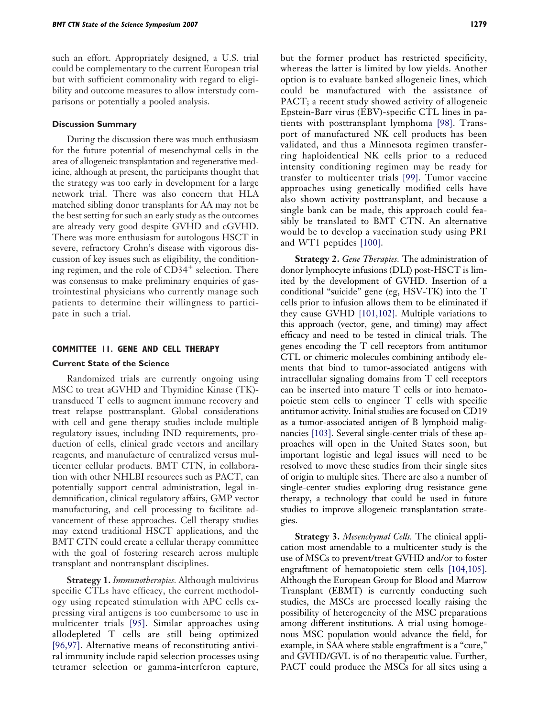such an effort. Appropriately designed, a U.S. trial could be complementary to the current European trial but with sufficient commonality with regard to eligibility and outcome measures to allow interstudy comparisons or potentially a pooled analysis.

### **Discussion Summary**

During the discussion there was much enthusiasm for the future potential of mesenchymal cells in the area of allogeneic transplantation and regenerative medicine, although at present, the participants thought that the strategy was too early in development for a large network trial. There was also concern that HLA matched sibling donor transplants for AA may not be the best setting for such an early study as the outcomes are already very good despite GVHD and cGVHD. There was more enthusiasm for autologous HSCT in severe, refractory Crohn's disease with vigorous discussion of key issues such as eligibility, the conditioning regimen, and the role of  $CD34<sup>+</sup>$  selection. There was consensus to make preliminary enquiries of gastrointestinal physicians who currently manage such patients to determine their willingness to participate in such a trial.

# **COMMITTEE 11. GENE AND CELL THERAPY**

# **Current State of the Science**

Randomized trials are currently ongoing using MSC to treat aGVHD and Thymidine Kinase (TK) transduced T cells to augment immune recovery and treat relapse posttransplant. Global considerations with cell and gene therapy studies include multiple regulatory issues, including IND requirements, production of cells, clinical grade vectors and ancillary reagents, and manufacture of centralized versus multicenter cellular products. BMT CTN, in collaboration with other NHLBI resources such as PACT, can potentially support central administration, legal indemnification, clinical regulatory affairs, GMP vector manufacturing, and cell processing to facilitate advancement of these approaches. Cell therapy studies may extend traditional HSCT applications, and the BMT CTN could create a cellular therapy committee with the goal of fostering research across multiple transplant and nontransplant disciplines.

**Strategy 1.** *Immunotherapies.* Although multivirus specific CTLs have efficacy, the current methodology using repeated stimulation with APC cells expressing viral antigens is too cumbersome to use in multicenter trials [\[95\].](#page-17-0) Similar approaches using allodepleted T cells are still being optimized [\[96,97\].](#page-17-0) Alternative means of reconstituting antiviral immunity include rapid selection processes using tetramer selection or gamma-interferon capture,

but the former product has restricted specificity, whereas the latter is limited by low yields. Another option is to evaluate banked allogeneic lines, which could be manufactured with the assistance of PACT; a recent study showed activity of allogeneic Epstein-Barr virus (EBV)-specific CTL lines in patients with posttransplant lymphoma [\[98\].](#page-17-0) Transport of manufactured NK cell products has been validated, and thus a Minnesota regimen transferring haploidentical NK cells prior to a reduced intensity conditioning regimen may be ready for transfer to multicenter trials [\[99\].](#page-17-0) Tumor vaccine approaches using genetically modified cells have also shown activity posttransplant, and because a single bank can be made, this approach could feasibly be translated to BMT CTN. An alternative would be to develop a vaccination study using PR1 and WT1 peptides [\[100\].](#page-17-0)

**Strategy 2.** *Gene Therapies.* The administration of donor lymphocyte infusions (DLI) post-HSCT is limited by the development of GVHD. Insertion of a conditional "suicide" gene (eg, HSV-TK) into the T cells prior to infusion allows them to be eliminated if they cause GVHD [\[101,102\].](#page-17-0) Multiple variations to this approach (vector, gene, and timing) may affect efficacy and need to be tested in clinical trials. The genes encoding the T cell receptors from antitumor CTL or chimeric molecules combining antibody elements that bind to tumor-associated antigens with intracellular signaling domains from T cell receptors can be inserted into mature T cells or into hematopoietic stem cells to engineer T cells with specific antitumor activity. Initial studies are focused on CD19 as a tumor-associated antigen of B lymphoid malignancies [\[103\].](#page-17-0) Several single-center trials of these approaches will open in the United States soon, but important logistic and legal issues will need to be resolved to move these studies from their single sites of origin to multiple sites. There are also a number of single-center studies exploring drug resistance gene therapy, a technology that could be used in future studies to improve allogeneic transplantation strategies.

**Strategy 3.** *Mesenchymal Cells.* The clinical application most amendable to a multicenter study is the use of MSCs to prevent/treat GVHD and/or to foster engraftment of hematopoietic stem cells [\[104,105\].](#page-17-0) Although the European Group for Blood and Marrow Transplant (EBMT) is currently conducting such studies, the MSCs are processed locally raising the possibility of heterogeneity of the MSC preparations among different institutions. A trial using homogenous MSC population would advance the field, for example, in SAA where stable engraftment is a "cure," and GVHD/GVL is of no therapeutic value. Further, PACT could produce the MSCs for all sites using a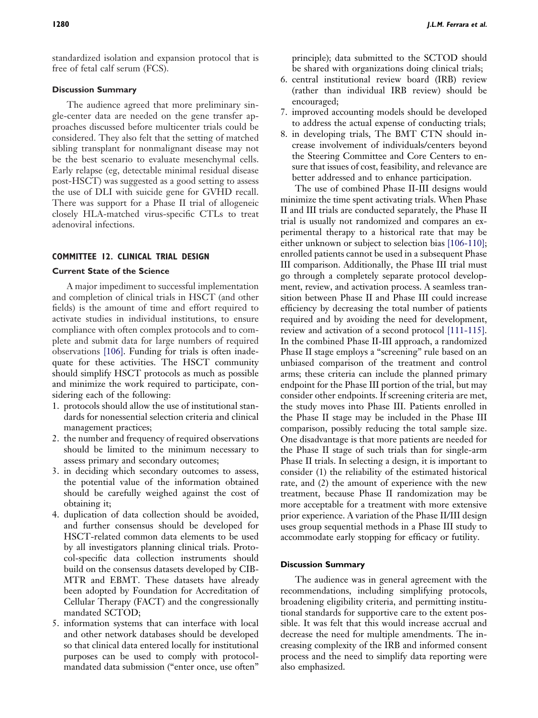standardized isolation and expansion protocol that is free of fetal calf serum (FCS).

# **Discussion Summary**

The audience agreed that more preliminary single-center data are needed on the gene transfer approaches discussed before multicenter trials could be considered. They also felt that the setting of matched sibling transplant for nonmalignant disease may not be the best scenario to evaluate mesenchymal cells. Early relapse (eg, detectable minimal residual disease post-HSCT) was suggested as a good setting to assess the use of DLI with suicide gene for GVHD recall. There was support for a Phase II trial of allogeneic closely HLA-matched virus-specific CTLs to treat adenoviral infections.

# **COMMITTEE 12. CLINICAL TRIAL DESIGN**

### **Current State of the Science**

A major impediment to successful implementation and completion of clinical trials in HSCT (and other fields) is the amount of time and effort required to activate studies in individual institutions, to ensure compliance with often complex protocols and to complete and submit data for large numbers of required observations [\[106\].](#page-17-0) Funding for trials is often inadequate for these activities. The HSCT community should simplify HSCT protocols as much as possible and minimize the work required to participate, considering each of the following:

- 1. protocols should allow the use of institutional standards for nonessential selection criteria and clinical management practices;
- 2. the number and frequency of required observations should be limited to the minimum necessary to assess primary and secondary outcomes;
- 3. in deciding which secondary outcomes to assess, the potential value of the information obtained should be carefully weighed against the cost of obtaining it;
- 4. duplication of data collection should be avoided, and further consensus should be developed for HSCT-related common data elements to be used by all investigators planning clinical trials. Protocol-specific data collection instruments should build on the consensus datasets developed by CIB-MTR and EBMT. These datasets have already been adopted by Foundation for Accreditation of Cellular Therapy (FACT) and the congressionally mandated SCTOD;
- 5. information systems that can interface with local and other network databases should be developed so that clinical data entered locally for institutional purposes can be used to comply with protocolmandated data submission ("enter once, use often"

principle); data submitted to the SCTOD should be shared with organizations doing clinical trials;

- 6. central institutional review board (IRB) review (rather than individual IRB review) should be encouraged;
- 7. improved accounting models should be developed to address the actual expense of conducting trials;
- 8. in developing trials, The BMT CTN should increase involvement of individuals/centers beyond the Steering Committee and Core Centers to ensure that issues of cost, feasibility, and relevance are better addressed and to enhance participation.

The use of combined Phase II-III designs would minimize the time spent activating trials. When Phase II and III trials are conducted separately, the Phase II trial is usually not randomized and compares an experimental therapy to a historical rate that may be either unknown or subject to selection bias [\[106-110\];](#page-17-0) enrolled patients cannot be used in a subsequent Phase III comparison. Additionally, the Phase III trial must go through a completely separate protocol development, review, and activation process. A seamless transition between Phase II and Phase III could increase efficiency by decreasing the total number of patients required and by avoiding the need for development, review and activation of a second protocol [\[111-115\].](#page-17-0) In the combined Phase II-III approach, a randomized Phase II stage employs a "screening" rule based on an unbiased comparison of the treatment and control arms; these criteria can include the planned primary endpoint for the Phase III portion of the trial, but may consider other endpoints. If screening criteria are met, the study moves into Phase III. Patients enrolled in the Phase II stage may be included in the Phase III comparison, possibly reducing the total sample size. One disadvantage is that more patients are needed for the Phase II stage of such trials than for single-arm Phase II trials. In selecting a design, it is important to consider (1) the reliability of the estimated historical rate, and (2) the amount of experience with the new treatment, because Phase II randomization may be more acceptable for a treatment with more extensive prior experience. A variation of the Phase II/III design uses group sequential methods in a Phase III study to accommodate early stopping for efficacy or futility.

#### **Discussion Summary**

The audience was in general agreement with the recommendations, including simplifying protocols, broadening eligibility criteria, and permitting institutional standards for supportive care to the extent possible. It was felt that this would increase accrual and decrease the need for multiple amendments. The increasing complexity of the IRB and informed consent process and the need to simplify data reporting were also emphasized.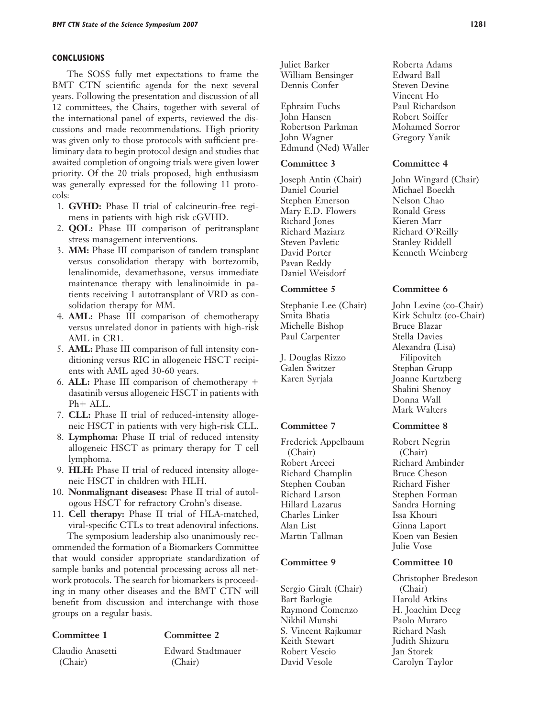# **CONCLUSIONS**

The SOSS fully met expectations to frame the BMT CTN scientific agenda for the next several years. Following the presentation and discussion of all 12 committees, the Chairs, together with several of the international panel of experts, reviewed the discussions and made recommendations. High priority was given only to those protocols with sufficient preliminary data to begin protocol design and studies that awaited completion of ongoing trials were given lower priority. Of the 20 trials proposed, high enthusiasm was generally expressed for the following 11 protocols:

- 1. **GVHD:** Phase II trial of calcineurin-free regimens in patients with high risk cGVHD.
- 2. **QOL:** Phase III comparison of peritransplant stress management interventions.
- 3. **MM:** Phase III comparison of tandem transplant versus consolidation therapy with bortezomib, lenalinomide, dexamethasone, versus immediate maintenance therapy with lenalinoimide in patients receiving 1 autotransplant of VRD as consolidation therapy for MM.
- 4. **AML:** Phase III comparison of chemotherapy versus unrelated donor in patients with high-risk AML in CR1.
- 5. **AML:** Phase III comparison of full intensity conditioning versus RIC in allogeneic HSCT recipients with AML aged 30-60 years.
- 6. **ALL:** Phase III comparison of chemotherapy dasatinib versus allogeneic HSCT in patients with  $Ph+ALL.$
- 7. **CLL:** Phase II trial of reduced-intensity allogeneic HSCT in patients with very high-risk CLL.
- 8. **Lymphoma:** Phase II trial of reduced intensity allogeneic HSCT as primary therapy for T cell lymphoma.
- 9. **HLH:** Phase II trial of reduced intensity allogeneic HSCT in children with HLH.
- 10. **Nonmalignant diseases:** Phase II trial of autologous HSCT for refractory Crohn's disease.
- 11. **Cell therapy:** Phase II trial of HLA-matched, viral-specific CTLs to treat adenoviral infections. The symposium leadership also unanimously rec-

ommended the formation of a Biomarkers Committee that would consider appropriate standardization of sample banks and potential processing across all network protocols. The search for biomarkers is proceeding in many other diseases and the BMT CTN will benefit from discussion and interchange with those groups on a regular basis.

**Committee 1 Committee 2**

Claudio Anasetti (Chair)

Edward Stadtmauer (Chair)

Juliet Barker Roberta Adams William Bensinger Edward Ball Dennis Confer

Ephraim Fuchs Paul Richardson John Hansen Robert Soiffer Robertson Parkman Mohamed Sorror John Wagner Gregory Yanik Edmund (Ned) Waller

Stephen Emerson Mary E.D. Flowers Ronald Gress Richard Jones Kieren Marr Richard Maziarz Richard O'Reilly Steven Pavletic Stanley Riddell David Porter Kenneth Weinberg Pavan Reddy Daniel Weisdorf

Michelle Bishop Bruce Blazar Paul Carpenter Stella Davies

J. Douglas Rizzo Galen Switzer Stephan Grupp

Frederick Appelbaum (Chair)<br>Robert Arceci Richard Champlin Bruce Cheson<br>Stephen Couban Richard Fisher Stephen Couban Richard Larson Stephen Forman Hillard Lazarus Sandra Horning Charles Linker Issa Khouri Alan List Ginna Laport Martin Tallman Koen van Besien

Sergio Giralt (Chair) Bart Barlogie Harold Atkins Raymond Comenzo H. Joachim Deeg Nikhil Munshi Paolo Muraro S. Vincent Rajkumar Keith Stewart Judith Shizuru Robert Vescio Jan Storek David Vesole Carolyn Taylor

Vincent Ho

#### **Committee 3 Committee 4**

Joseph Antin (Chair) John Wingard (Chair) Michael Boeckh<br>Nelson Chao

# **Committee 5 Committee 6**

Stephanie Lee (Chair) John Levine (co-Chair) Smita Bhatia Kirk Schultz (co-Chair) Alexandra (Lisa) Filipovitch Karen Syrjala Joanne Kurtzberg Shalini Shenoy Donna Wall Mark Walters

#### **Committee 7 Committee 8**

Robert Negrin (Chair) Richard Ambinder Julie Vose

# **Committee 9 Committee 10**

Christopher Bredeson (Chair)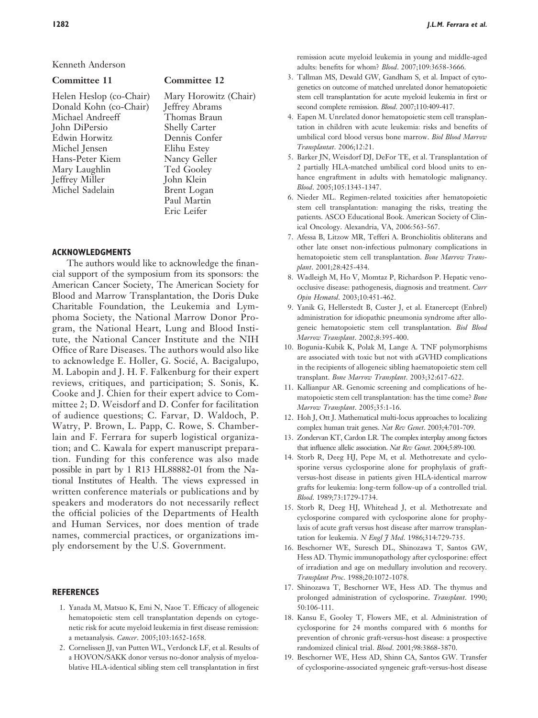<span id="page-14-0"></span>Kenneth Anderson

#### **Committee 11 Committee 12**

Helen Heslop (co-Chair) Mary Horowitz (Chair) Donald Kohn (co-Chair) Jeffrey Abrams Michael Andreeff Thomas Braun John DiPersio Shelly Carter Edwin Horwitz Dennis Confer Michel Jensen Elihu Estey Hans-Peter Kiem Nancy Geller Mary Laughlin Ted Gooley Jeffrey Miller John Klein Michel Sadelain Brent Logan

Paul Martin Eric Leifer

# **ACKNOWLEDGMENTS**

The authors would like to acknowledge the financial support of the symposium from its sponsors: the American Cancer Society, The American Society for Blood and Marrow Transplantation, the Doris Duke Charitable Foundation, the Leukemia and Lymphoma Society, the National Marrow Donor Program, the National Heart, Lung and Blood Institute, the National Cancer Institute and the NIH Office of Rare Diseases. The authors would also like to acknowledge E. Holler, G. Socié, A. Bacigalupo, M. Labopin and J. H. F. Falkenburg for their expert reviews, critiques, and participation; S. Sonis, K. Cooke and J. Chien for their expert advice to Committee 2; D. Weisdorf and D. Confer for facilitation of audience questions; C. Farvar, D. Waldoch, P. Watry, P. Brown, L. Papp, C. Rowe, S. Chamberlain and F. Ferrara for superb logistical organization; and C. Kawala for expert manuscript preparation. Funding for this conference was also made possible in part by 1 R13 HL88882-01 from the National Institutes of Health. The views expressed in written conference materials or publications and by speakers and moderators do not necessarily reflect the official policies of the Departments of Health and Human Services, nor does mention of trade names, commercial practices, or organizations imply endorsement by the U.S. Government.

#### **REFERENCES**

- 1. Yanada M, Matsuo K, Emi N, Naoe T. Efficacy of allogeneic hematopoietic stem cell transplantation depends on cytogenetic risk for acute myeloid leukemia in first disease remission: a metaanalysis. *Cancer*. 2005;103:1652-1658.
- 2. Cornelissen JJ, van Putten WL, Verdonck LF, et al. Results of a HOVON/SAKK donor versus no-donor analysis of myeloablative HLA-identical sibling stem cell transplantation in first

remission acute myeloid leukemia in young and middle-aged adults: benefits for whom? *Blood*. 2007;109:3658-3666.

- 3. Tallman MS, Dewald GW, Gandham S, et al. Impact of cytogenetics on outcome of matched unrelated donor hematopoietic stem cell transplantation for acute myeloid leukemia in first or second complete remission. *Blood*. 2007;110:409-417.
- 4. Eapen M. Unrelated donor hematopoietic stem cell transplantation in children with acute leukemia: risks and benefits of umbilical cord blood versus bone marrow. *Biol Blood Marrow Transplantat*. 2006;12:21.
- 5. Barker JN, Weisdorf DJ, DeFor TE, et al. Transplantation of 2 partially HLA-matched umbilical cord blood units to enhance engraftment in adults with hematologic malignancy. *Blood*. 2005;105:1343-1347.
- 6. Nieder ML. Regimen-related toxicities after hematopoietic stem cell transplantation: managing the risks, treating the patients. ASCO Educational Book. American Society of Clinical Oncology. Alexandria, VA, 2006:563-567.
- 7. Afessa B, Litzow MR, Tefferi A. Bronchiolitis obliterans and other late onset non-infectious pulmonary complications in hematopoietic stem cell transplantation. *Bone Marrow Transplant*. 2001;28:425-434.
- 8. Wadleigh M, Ho V, Momtaz P, Richardson P. Hepatic venoocclusive disease: pathogenesis, diagnosis and treatment. *Curr Opin Hematol*. 2003;10:451-462.
- 9. Yanik G, Hellerstedt B, Custer J, et al. Etanercept (Enbrel) administration for idiopathic pneumonia syndrome after allogeneic hematopoietic stem cell transplantation. *Biol Blood Marrow Transplant*. 2002;8:395-400.
- 10. Bogunia-Kubik K, Polak M, Lange A. TNF polymorphisms are associated with toxic but not with aGVHD complications in the recipients of allogeneic sibling haematopoietic stem cell transplant. *Bone Marrow Transplant*. 2003;32:617-622.
- 11. Kallianpur AR. Genomic screening and complications of hematopoietic stem cell transplantation: has the time come? *Bone Marrow Transplant*. 2005;35:1-16.
- 12. Hoh J, Ott J. Mathematical multi-locus approaches to localizing complex human trait genes. *Nat Rev Genet*. 2003;4:701-709.
- 13. Zondervan KT, Cardon LR. The complex interplay among factors that influence allelic association. *Nat Rev Genet*. 2004;5:89-100.
- 14. Storb R, Deeg HJ, Pepe M, et al. Methotrexate and cyclosporine versus cyclosporine alone for prophylaxis of graftversus-host disease in patients given HLA-identical marrow grafts for leukemia: long-term follow-up of a controlled trial. *Blood*. 1989;73:1729-1734.
- 15. Storb R, Deeg HJ, Whitehead J, et al. Methotrexate and cyclosporine compared with cyclosporine alone for prophylaxis of acute graft versus host disease after marrow transplantation for leukemia. *N Engl J Med*. 1986;314:729-735.
- 16. Beschorner WE, Suresch DL, Shinozawa T, Santos GW, Hess AD. Thymic immunopathology after cyclosporine: effect of irradiation and age on medullary involution and recovery. *Transplant Proc*. 1988;20:1072-1078.
- 17. Shinozawa T, Beschorner WE, Hess AD. The thymus and prolonged administration of cyclosporine. *Transplant*. 1990; 50:106-111.
- 18. Kansu E, Gooley T, Flowers ME, et al. Administration of cyclosporine for 24 months compared with 6 months for prevention of chronic graft-versus-host disease: a prospective randomized clinical trial. *Blood*. 2001;98:3868-3870.
- 19. Beschorner WE, Hess AD, Shinn CA, Santos GW. Transfer of cyclosporine-associated syngeneic graft-versus-host disease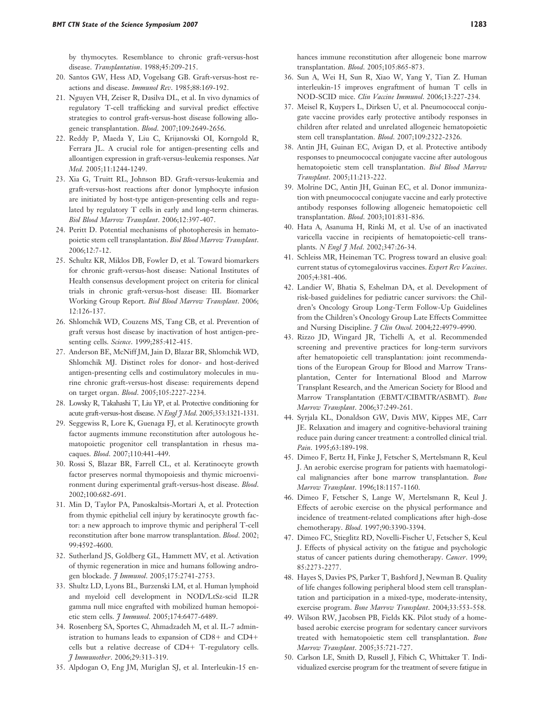<span id="page-15-0"></span>by thymocytes. Resemblance to chronic graft-versus-host disease. *Transplantation*. 1988;45:209-215.

- 20. Santos GW, Hess AD, Vogelsang GB. Graft-versus-host reactions and disease. *Immunol Rev*. 1985;88:169-192.
- 21. Nguyen VH, Zeiser R, Dasilva DL, et al. In vivo dynamics of regulatory T-cell trafficking and survival predict effective strategies to control graft-versus-host disease following allogeneic transplantation. *Blood*. 2007;109:2649-2656.
- 22. Reddy P, Maeda Y, Liu C, Krijanovski OI, Korngold R, Ferrara JL. A crucial role for antigen-presenting cells and alloantigen expression in graft-versus-leukemia responses. *Nat Med*. 2005;11:1244-1249.
- 23. Xia G, Truitt RL, Johnson BD. Graft-versus-leukemia and graft-versus-host reactions after donor lymphocyte infusion are initiated by host-type antigen-presenting cells and regulated by regulatory T cells in early and long-term chimeras. *Biol Blood Marrow Transplant*. 2006;12:397-407.
- 24. Peritt D. Potential mechanisms of photopheresis in hematopoietic stem cell transplantation. *Biol Blood Marrow Transplant*. 2006;12:7-12.
- 25. Schultz KR, Miklos DB, Fowler D, et al. Toward biomarkers for chronic graft-versus-host disease: National Institutes of Health consensus development project on criteria for clinical trials in chronic graft-versus-host disease: III. Biomarker Working Group Report. *Biol Blood Marrow Transplant*. 2006; 12:126-137.
- 26. Shlomchik WD, Couzens MS, Tang CB, et al. Prevention of graft versus host disease by inactivation of host antigen-presenting cells. *Science*. 1999;285:412-415.
- 27. Anderson BE, McNiff JM, Jain D, Blazar BR, Shlomchik WD, Shlomchik MJ. Distinct roles for donor- and host-derived antigen-presenting cells and costimulatory molecules in murine chronic graft-versus-host disease: requirements depend on target organ. *Blood*. 2005;105:2227-2234.
- 28. Lowsky R, Takahashi T, Liu YP, et al. Protective conditioning for acute graft-versus-host disease. *N Engl J Med*. 2005;353:1321-1331.
- 29. Seggewiss R, Lore K, Guenaga FJ, et al. Keratinocyte growth factor augments immune reconstitution after autologous hematopoietic progenitor cell transplantation in rhesus macaques. *Blood*. 2007;110:441-449.
- 30. Rossi S, Blazar BR, Farrell CL, et al. Keratinocyte growth factor preserves normal thymopoiesis and thymic microenvironment during experimental graft-versus-host disease. *Blood*. 2002;100:682-691.
- 31. Min D, Taylor PA, Panoskaltsis-Mortari A, et al. Protection from thymic epithelial cell injury by keratinocyte growth factor: a new approach to improve thymic and peripheral T-cell reconstitution after bone marrow transplantation. *Blood*. 2002; 99:4592-4600.
- 32. Sutherland JS, Goldberg GL, Hammett MV, et al. Activation of thymic regeneration in mice and humans following androgen blockade. *J Immunol*. 2005;175:2741-2753.
- 33. Shultz LD, Lyons BL, Burzenski LM, et al. Human lymphoid and myeloid cell development in NOD/LtSz-scid IL2R gamma null mice engrafted with mobilized human hemopoietic stem cells. *J Immunol*. 2005;174:6477-6489.
- 34. Rosenberg SA, Sportes C, Ahmadzadeh M, et al. IL-7 administration to humans leads to expansion of  $CD8+$  and  $CD4+$ cells but a relative decrease of CD4+ T-regulatory cells. *J Immunother*. 2006;29:313-319.
- 35. Alpdogan O, Eng JM, Muriglan SJ, et al. Interleukin-15 en-

hances immune reconstitution after allogeneic bone marrow transplantation. *Blood*. 2005;105:865-873.

- 36. Sun A, Wei H, Sun R, Xiao W, Yang Y, Tian Z. Human interleukin-15 improves engraftment of human T cells in NOD-SCID mice. *Clin Vaccine Immunol*. 2006;13:227-234.
- 37. Meisel R, Kuypers L, Dirksen U, et al. Pneumococcal conjugate vaccine provides early protective antibody responses in children after related and unrelated allogeneic hematopoietic stem cell transplantation. *Blood*. 2007;109:2322-2326.
- 38. Antin JH, Guinan EC, Avigan D, et al. Protective antibody responses to pneumococcal conjugate vaccine after autologous hematopoietic stem cell transplantation. *Biol Blood Marrow Transplant*. 2005;11:213-222.
- 39. Molrine DC, Antin JH, Guinan EC, et al. Donor immunization with pneumococcal conjugate vaccine and early protective antibody responses following allogeneic hematopoietic cell transplantation. *Blood*. 2003;101:831-836.
- 40. Hata A, Asanuma H, Rinki M, et al. Use of an inactivated varicella vaccine in recipients of hematopoietic-cell transplants. *N Engl J Med*. 2002;347:26-34.
- 41. Schleiss MR, Heineman TC. Progress toward an elusive goal: current status of cytomegalovirus vaccines. *Expert Rev Vaccines*. 2005;4:381-406.
- 42. Landier W, Bhatia S, Eshelman DA, et al. Development of risk-based guidelines for pediatric cancer survivors: the Children's Oncology Group Long-Term Follow-Up Guidelines from the Children's Oncology Group Late Effects Committee and Nursing Discipline. *J Clin Oncol*. 2004;22:4979-4990.
- 43. Rizzo JD, Wingard JR, Tichelli A, et al. Recommended screening and preventive practices for long-term survivors after hematopoietic cell transplantation: joint recommendations of the European Group for Blood and Marrow Transplantation, Center for International Blood and Marrow Transplant Research, and the American Society for Blood and Marrow Transplantation (EBMT/CIBMTR/ASBMT). *Bone Marrow Transplant*. 2006;37:249-261.
- 44. Syrjala KL, Donaldson GW, Davis MW, Kippes ME, Carr JE. Relaxation and imagery and cognitive-behavioral training reduce pain during cancer treatment: a controlled clinical trial. *Pain*. 1995;63:189-198.
- 45. Dimeo F, Bertz H, Finke J, Fetscher S, Mertelsmann R, Keul J. An aerobic exercise program for patients with haematological malignancies after bone marrow transplantation. *Bone Marrow Transplant*. 1996;18:1157-1160.
- 46. Dimeo F, Fetscher S, Lange W, Mertelsmann R, Keul J. Effects of aerobic exercise on the physical performance and incidence of treatment-related complications after high-dose chemotherapy. *Blood*. 1997;90:3390-3394.
- 47. Dimeo FC, Stieglitz RD, Novelli-Fischer U, Fetscher S, Keul J. Effects of physical activity on the fatigue and psychologic status of cancer patients during chemotherapy. *Cancer*. 1999; 85:2273-2277.
- 48. Hayes S, Davies PS, Parker T, Bashford J, Newman B. Quality of life changes following peripheral blood stem cell transplantation and participation in a mixed-type, moderate-intensity, exercise program. *Bone Marrow Transplant*. 2004;33:553-558.
- 49. Wilson RW, Jacobsen PB, Fields KK. Pilot study of a homebased aerobic exercise program for sedentary cancer survivors treated with hematopoietic stem cell transplantation. *Bone Marrow Transplant*. 2005;35:721-727.
- 50. Carlson LE, Smith D, Russell J, Fibich C, Whittaker T. Individualized exercise program for the treatment of severe fatigue in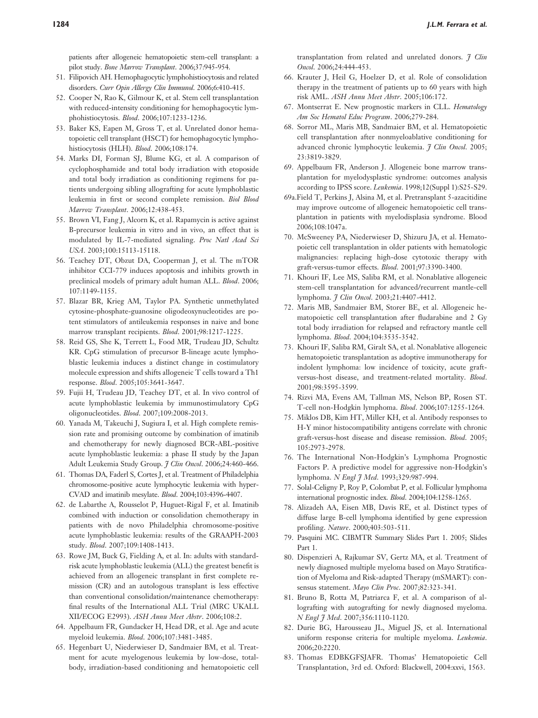<span id="page-16-0"></span>patients after allogeneic hematopoietic stem-cell transplant: a pilot study. *Bone Marrow Transplant*. 2006;37:945-954.

- 51. Filipovich AH. Hemophagocytic lymphohistiocytosis and related disorders. *Curr Opin Allergy Clin Immunol*. 2006;6:410-415.
- 52. Cooper N, Rao K, Gilmour K, et al. Stem cell transplantation with reduced-intensity conditioning for hemophagocytic lymphohistiocytosis. *Blood*. 2006;107:1233-1236.
- 53. Baker KS, Eapen M, Gross T, et al. Unrelated donor hematopoietic cell transplant (HSCT) for hemophagocytic lymphohistiocytosis (HLH). *Blood*. 2006;108:174.
- 54. Marks DI, Forman SJ, Blume KG, et al. A comparison of cyclophosphamide and total body irradiation with etoposide and total body irradiation as conditioning regimens for patients undergoing sibling allografting for acute lymphoblastic leukemia in first or second complete remission. *Biol Blood Marrow Transplant*. 2006;12:438-453.
- 55. Brown VI, Fang J, Alcorn K, et al. Rapamycin is active against B-precursor leukemia in vitro and in vivo, an effect that is modulated by IL-7-mediated signaling. *Proc Natl Acad Sci USA*. 2003;100:15113-15118.
- 56. Teachey DT, Obzut DA, Cooperman J, et al. The mTOR inhibitor CCI-779 induces apoptosis and inhibits growth in preclinical models of primary adult human ALL. *Blood*. 2006; 107:1149-1155.
- 57. Blazar BR, Krieg AM, Taylor PA. Synthetic unmethylated cytosine-phosphate-guanosine oligodeoxynucleotides are potent stimulators of antileukemia responses in naive and bone marrow transplant recipients. *Blood*. 2001;98:1217-1225.
- 58. Reid GS, She K, Terrett L, Food MR, Trudeau JD, Schultz KR. CpG stimulation of precursor B-lineage acute lymphoblastic leukemia induces a distinct change in costimulatory molecule expression and shifts allogeneic T cells toward a Th1 response. *Blood*. 2005;105:3641-3647.
- 59. Fujii H, Trudeau JD, Teachey DT, et al. In vivo control of acute lymphoblastic leukemia by immunostimulatory CpG oligonucleotides. *Blood*. 2007;109:2008-2013.
- 60. Yanada M, Takeuchi J, Sugiura I, et al. High complete remission rate and promising outcome by combination of imatinib and chemotherapy for newly diagnosed BCR-ABL-positive acute lymphoblastic leukemia: a phase II study by the Japan Adult Leukemia Study Group. *J Clin Oncol*. 2006;24:460-466.
- 61. Thomas DA, Faderl S, Cortes J, et al. Treatment of Philadelphia chromosome-positive acute lymphocytic leukemia with hyper-CVAD and imatinib mesylate. *Blood*. 2004;103:4396-4407.
- 62. de Labarthe A, Rousselot P, Huguet-Rigal F, et al. Imatinib combined with induction or consolidation chemotherapy in patients with de novo Philadelphia chromosome-positive acute lymphoblastic leukemia: results of the GRAAPH-2003 study. *Blood*. 2007;109:1408-1413.
- 63. Rowe JM, Buck G, Fielding A, et al. In: adults with standardrisk acute lymphoblastic leukemia (ALL) the greatest benefit is achieved from an allogeneic transplant in first complete remission (CR) and an autologous transplant is less effective than conventional consolidation/maintenance chemotherapy: final results of the International ALL Trial (MRC UKALL XII/ECOG E2993). *ASH Annu Meet Abstr*. 2006;108:2.
- 64. Appelbaum FR, Gundacker H, Head DR, et al. Age and acute myeloid leukemia. *Blood*. 2006;107:3481-3485.
- 65. Hegenbart U, Niederwieser D, Sandmaier BM, et al. Treatment for acute myelogenous leukemia by low-dose, totalbody, irradiation-based conditioning and hematopoietic cell

transplantation from related and unrelated donors. *J Clin Oncol*. 2006;24:444-453.

- 66. Krauter J, Heil G, Hoelzer D, et al. Role of consolidation therapy in the treatment of patients up to 60 years with high risk AML. *ASH Annu Meet Abstr*. 2005;106:172.
- 67. Montserrat E. New prognostic markers in CLL. *Hematology Am Soc Hematol Educ Program*. 2006;279-284.
- 68. Sorror ML, Maris MB, Sandmaier BM, et al. Hematopoietic cell transplantation after nonmyeloablative conditioning for advanced chronic lymphocytic leukemia. *J Clin Oncol*. 2005; 23:3819-3829.
- 69. Appelbaum FR, Anderson J. Allogeneic bone marrow transplantation for myelodysplastic syndrome: outcomes analysis according to IPSS score. *Leukemia*. 1998;12(Suppl 1):S25-S29.
- 69a.Field T, Perkins J, Alsina M, et al. Pretransplant 5-azacitidine may improve outcome of allogeneic hematopoietic cell transplantation in patients with myelodisplasia syndrome. Blood 2006;108:1047a.
- 70. McSweeney PA, Niederwieser D, Shizuru JA, et al. Hematopoietic cell transplantation in older patients with hematologic malignancies: replacing high-dose cytotoxic therapy with graft-versus-tumor effects. *Blood*. 2001;97:3390-3400.
- 71. Khouri IF, Lee MS, Saliba RM, et al. Nonablative allogeneic stem-cell transplantation for advanced/recurrent mantle-cell lymphoma. *J Clin Oncol*. 2003;21:4407-4412.
- 72. Maris MB, Sandmaier BM, Storer BE, et al. Allogeneic hematopoietic cell transplantation after fludarabine and 2 Gy total body irradiation for relapsed and refractory mantle cell lymphoma. *Blood*. 2004;104:3535-3542.
- 73. Khouri IF, Saliba RM, Giralt SA, et al. Nonablative allogeneic hematopoietic transplantation as adoptive immunotherapy for indolent lymphoma: low incidence of toxicity, acute graftversus-host disease, and treatment-related mortality. *Blood*. 2001;98:3595-3599.
- 74. Rizvi MA, Evens AM, Tallman MS, Nelson BP, Rosen ST. T-cell non-Hodgkin lymphoma. *Blood*. 2006;107:1255-1264.
- 75. Miklos DB, Kim HT, Miller KH, et al. Antibody responses to H-Y minor histocompatibility antigens correlate with chronic graft-versus-host disease and disease remission. *Blood*. 2005; 105:2973-2978.
- 76. The International Non-Hodgkin's Lymphoma Prognostic Factors P. A predictive model for aggressive non-Hodgkin's lymphoma. *N Engl J Med*. 1993;329:987-994.
- 77. Solal-Celigny P, Roy P, Colombat P, et al. Follicular lymphoma international prognostic index. *Blood*. 2004;104:1258-1265.
- 78. Alizadeh AA, Eisen MB, Davis RE, et al. Distinct types of diffuse large B-cell lymphoma identified by gene expression profiling. *Nature*. 2000;403:503-511.
- 79. Pasquini MC. CIBMTR Summary Slides Part 1. 2005; Slides Part 1.
- 80. Dispenzieri A, Rajkumar SV, Gertz MA, et al. Treatment of newly diagnosed multiple myeloma based on Mayo Stratification of Myeloma and Risk-adapted Therapy (mSMART): consensus statement. *Mayo Clin Proc*. 2007;82:323-341.
- 81. Bruno B, Rotta M, Patriarca F, et al. A comparison of allografting with autografting for newly diagnosed myeloma. *N Engl J Med*. 2007;356:1110-1120.
- 82. Durie BG, Harousseau JL, Miguel JS, et al. International uniform response criteria for multiple myeloma. *Leukemia*. 2006;20:2220.
- 83. Thomas EDBKGFSJAFR. Thomas' Hematopoietic Cell Transplantation, 3rd ed. Oxford: Blackwell, 2004:xxvi, 1563.